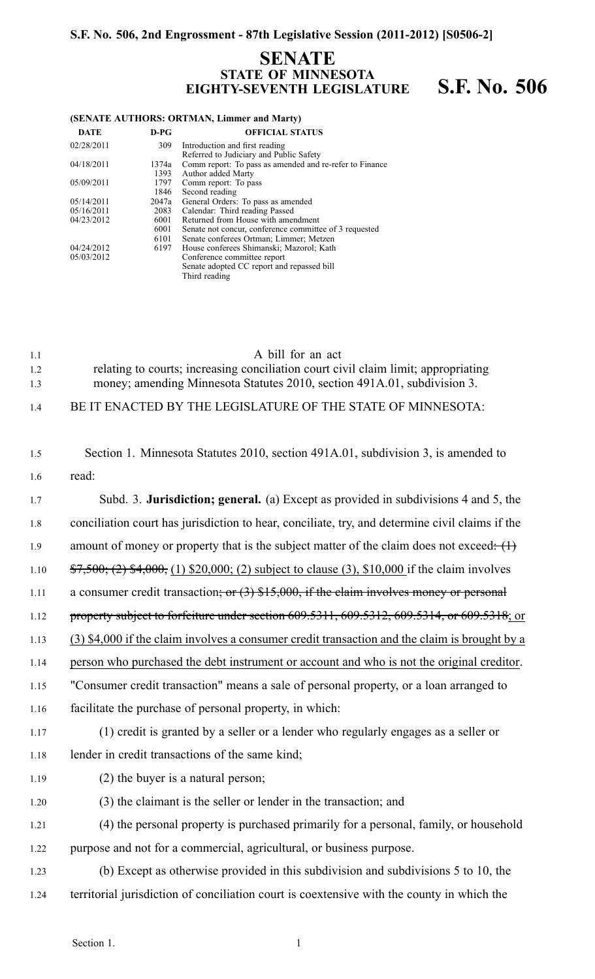### **S.F. No. 506, 2nd Engrossment - 87th Legislative Session (2011-2012) [S0506-2]**

# **SENATE STATE OF MINNESOTA EIGHTY-SEVENTH LEGISLATURE S.F. No. 506**

#### **(SENATE AUTHORS: ORTMAN, Limmer and Marty)**

| <b>DATE</b> | $D-PG$ | <b>OFFICIAL STATUS</b>                                                    |
|-------------|--------|---------------------------------------------------------------------------|
| 02/28/2011  | 309    | Introduction and first reading<br>Referred to Judiciary and Public Safety |
| 04/18/2011  | 1374a  | Comm report: To pass as amended and re-refer to Finance                   |
|             | 1393   | Author added Marty                                                        |
| 05/09/2011  | 1797   | Comm report: To pass                                                      |
|             | 1846   | Second reading                                                            |
| 05/14/2011  | 2047a  | General Orders: To pass as amended                                        |
| 05/16/2011  | 2083   | Calendar: Third reading Passed                                            |
| 04/23/2012  | 6001   | Returned from House with amendment                                        |
|             | 6001   | Senate not concur, conference committee of 3 requested                    |
|             | 6101   | Senate conferees Ortman; Limmer; Metzen                                   |
| 04/24/2012  | 6197   | House conferees Shimanski; Mazorol; Kath                                  |
| 05/03/2012  |        | Conference committee report                                               |
|             |        | Senate adopted CC report and repassed bill                                |
|             |        | Third reading                                                             |

| 1.1 | A bill for an act                                                                  |
|-----|------------------------------------------------------------------------------------|
| 1.2 | relating to courts; increasing conciliation court civil claim limit; appropriating |
| 1.3 | money; amending Minnesota Statutes 2010, section 491A.01, subdivision 3.           |

1.4 BE IT ENACTED BY THE LEGISLATURE OF THE STATE OF MINNESOTA:

| 1.5  | Section 1. Minnesota Statutes 2010, section 491A.01, subdivision 3, is amended to                         |
|------|-----------------------------------------------------------------------------------------------------------|
| 1.6  | read:                                                                                                     |
| 1.7  | Subd. 3. Jurisdiction; general. (a) Except as provided in subdivisions 4 and 5, the                       |
| 1.8  | conciliation court has jurisdiction to hear, conciliate, try, and determine civil claims if the           |
| 1.9  | amount of money or property that is the subject matter of the claim does not exceed: $(1)$                |
| 1.10 | $\frac{$7,500}{0}$ ; (2) \$4,000, (1) \$20,000; (2) subject to clause (3), \$10,000 if the claim involves |
| 1.11 | a consumer credit transaction; or $(3)$ \$15,000, if the claim involves money or personal                 |
| 1.12 | property subject to forfeiture under section 609.5311, 609.5312, 609.5314, or 609.5318; or                |
| 1.13 | (3) \$4,000 if the claim involves a consumer credit transaction and the claim is brought by a             |
| 1.14 | person who purchased the debt instrument or account and who is not the original creditor.                 |
| 1.15 | "Consumer credit transaction" means a sale of personal property, or a loan arranged to                    |
| 1.16 | facilitate the purchase of personal property, in which:                                                   |
| 1.17 | (1) credit is granted by a seller or a lender who regularly engages as a seller or                        |
| 1.18 | lender in credit transactions of the same kind;                                                           |
| 1.19 | $(2)$ the buyer is a natural person;                                                                      |
| 1.20 | (3) the claimant is the seller or lender in the transaction; and                                          |
| 1.21 | (4) the personal property is purchased primarily for a personal, family, or household                     |
| 1.22 | purpose and not for a commercial, agricultural, or business purpose.                                      |
| 1.23 | (b) Except as otherwise provided in this subdivision and subdivisions 5 to 10, the                        |
| 1.24 | territorial jurisdiction of conciliation court is coextensive with the county in which the                |
|      |                                                                                                           |

Section 1.